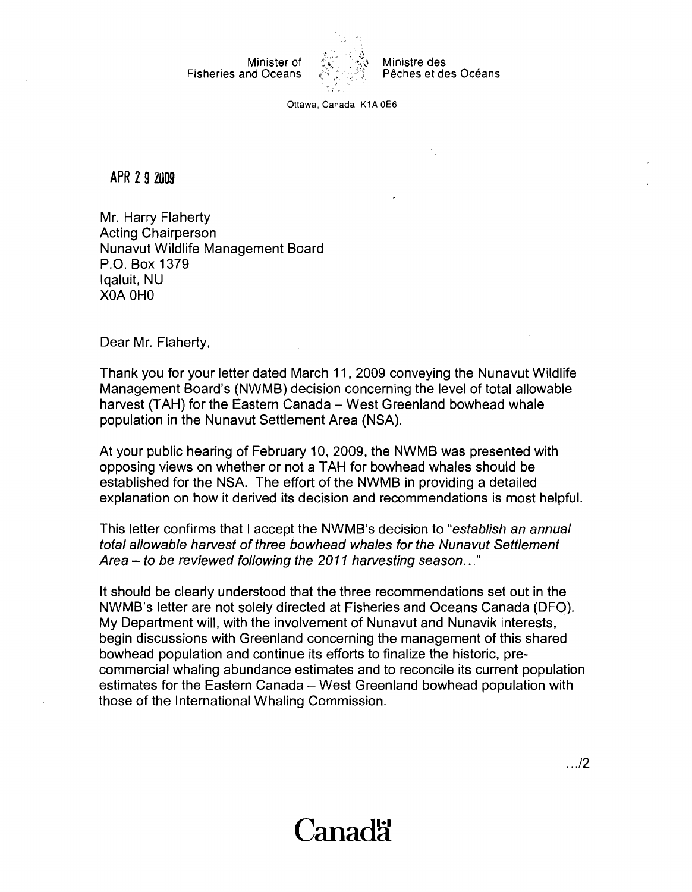Fisheries and Oceans



Minister of *;:3* .?\$ Ministre des

Ottawa. Canada K1A 0E6

**APR 2 9 2009** 

Mr. Harry Flaherty Acting Chairperson Nunavut Wildlife Management Board P.O. Box 1379 Iqaluit, NU XOA OH0

Dear Mr. Flaherty,

Thank you for your letter dated March 11, 2009 conveying the Nunavut Wildlife Management Board's (NWMB) decision concerning the level of total allowable harvest (TAH) for the Eastern Canada - West Greenland bowhead whale population in the Nunavut Settlement Area (NSA).

At your public hearing of February 10, 2009, the NWMB was presented with opposing views on whether or not a TAH for bowhead whales should be established for the NSA. The effort of the NWMB in providing a detailed explanation on how it derived its decision and recommendations is most helpful.

This letter confirms that I accept the NWMB's decision to "establish an annual total allowable harvest of three bowhead whales for the Nunavut Settlement Area  $-$  to be reviewed following the 2011 harvesting season..."

It should be clearly understood that the three recommendations set out in the NWMB's letter are not solely directed at Fisheries and Oceans Canada (DFO). My Department will, with the involvement of Nunavut and Nunavik interests, begin discussions with Greenland concerning the management of this shared bowhead population and continue its efforts to finalize the historic, precommercial whaling abundance estimates and to reconcile its current population estimates for the Eastern Canada - West Greenland bowhead population with those of the International Whaling Commission.

## Canadä